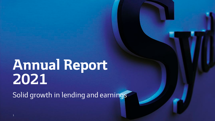# **Annual Report 2021**

Solid growth in lending and earnings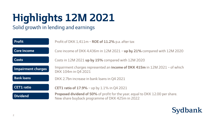# **Highlights 12M 2021**

### Solid growth in lending and earnings

| <b>Profit</b>      | Profit of DKK 1,411m - ROE of 11.2% p.a. after tax                                                                                       |
|--------------------|------------------------------------------------------------------------------------------------------------------------------------------|
| <b>Core income</b> | Core income of DKK 4,436m in $12M$ 2021 - up by 21% compared with $12M$ 2020                                                             |
| <b>Costs</b>       | Costs in 12M 2021 up by 15% compared with 12M 2020                                                                                       |
| Impairment charges | Impairment charges represented an <i>income of DKK 415m</i> in 12M 2021 - of which<br>DKK 104m in 04 2021                                |
| <b>Bank loans</b>  | DKK 2.7bn increase in bank loans in Q4 2021                                                                                              |
| <b>CET1</b> ratio  | <b>CET1 ratio of 17.9%</b> – up by 1.1% in Q4 2021                                                                                       |
| <b>Dividend</b>    | <b>Proposed dividend of 50%</b> of profit for the year, equal to DKK 12.00 per share.<br>New share buyback programme of DKK 425m in 2022 |

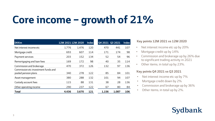# **Core income – growth of 21%**

| <b>DKKm</b>                                                 | 12M 2021 12M 2020 |       | <b>Index</b> |       | Q4 2021 Q3 2021 | <b>Index</b> |
|-------------------------------------------------------------|-------------------|-------|--------------|-------|-----------------|--------------|
| Net interest income etc                                     | 1,776             | 1,476 | 120          | 470   | 441             | 107          |
| Mortgage credit                                             | 693               | 607   | 114          | 171   | 174             | 98           |
| Payment services                                            | 203               | 152   | 134          | 52    | 54              | 96           |
| Remortgaging and loan fees                                  | 169               | 172   | 98           | 40    | 35              | 114          |
| Commission and brokerage                                    | 470               | 372   | 126          | 132   | 97              | 136          |
| Commission etc investment funds and<br>pooled pension plans | 340               | 278   | 122          | 85    | 84              | 101          |
| Asset management                                            | 380               | 288   | 132          | 101   | 94              | 107          |
| Custody account fees                                        | 115               | 88    | 131          | 38    | 28              | 136          |
| Other operating income                                      | 290               | 237   | 122          | 67    | 80              | 84           |
| <b>Total</b>                                                | 4,436             | 3,670 | 121          | 1,156 | 1,087           | 106          |

### **Key points 12M 2021 vs 12M 2020**

- Net interest income etc up by 20%
- Mortgage credit up by 14%
- Commission and brokerage up by 26% due to significant trading activity in 2021
- Other items, in total up by 23%.

### **Key points Q4 2021 vs Q3 2021**

- Net interest income etc up by 7%
- Mortgage credit down by 2%
- Commission and brokerage up by 36%
- Other items, in total up by 2%.

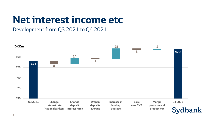## **Net interest income etc**

## Development from Q3 2021 to Q4 2021

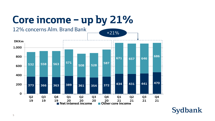## **Core income – up by 21%**



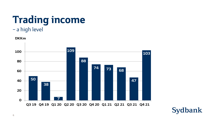# **Trading income**

## – a high level



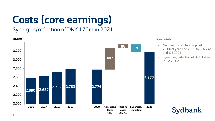# **Costs (core earnings)**

## Synergies/reduction of DKK 170m in 2021



#### **Key points**

- Number of staff has dropped from 2,286 at year-end 2020 to 2,077 at end-Q4 2021
- Synergies/reduction of DKK 170m in 12M 2021.

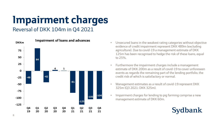# **Impairment charges**

### Reversal of DKK 104m in Q4 2021



- Unsecured loans in the weakest rating categories without objective evidence of credit impairment represent DKK 489m (excluding agriculture). Due to covid-19 a management estimate of DKK 125m has been recognised to hedge the risk of these loans, equal to 25%.
- Furthermore the impairment charges include a management estimate of DKK 200m as a result of covid-19 to cover unforeseen events as regards the remaining part of the lending portfolio, the credit risk of which is satisfactory or normal.
- Management estimates as a result of covid-19 represent DKK 325m (Q3 2021: DKK 325m).
- Impairment charges for lending to pig farming comprise a new management estimate of DKK 60m.

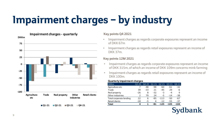# **Impairment charges – by industry**



 $\blacksquare$  01-21  $\blacksquare$  02-21  $\blacksquare$  03-21  $\blacksquare$  04-21

#### **Key points Q4 2021**

- Impairment charges as regards corporate exposures represent an income of DKK 67m
- Impairment charges as regards retail exposures represent an income of DKK 37m.

### **Key points 12M 2021**

- Impairment charges as regards corporate exposures represent an income of DKK 315m, of which an income of DKK 109m concerns mink farming
- Impairment charges as regards retail exposures represent an income of DKK 100m.

#### **Quarterly impairment charges**

| <b>DKKm</b>             | 03 20 | 04 20 | Q1 21  | $\overline{Q}$ 21 | 03 21 | 04 21 |
|-------------------------|-------|-------|--------|-------------------|-------|-------|
| Agriculture etc         |       | -48   | -98    | -60               | $-61$ | $-32$ |
| Trade                   | 39    | $-33$ | 21     | -45               | 29    | $-6$  |
| Real property           | -26   | 8     | $-32.$ | -3                | -4    | 9     |
| Other industries        | 2     | 79    | 24     | -5                | $-14$ | -38   |
| Total corporate lending | 22    | 6     | -85    | $-113$            | -50   | $-67$ |
| Retail clients          | $-18$ | -5    | 4      | $-12$             | -55   | $-37$ |
| <b>Total</b>            | 4     |       | -81    | -125              | -105  | -104  |
|                         |       |       |        |                   |       |       |

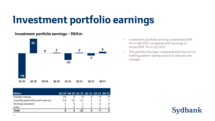## **Investment portfolio earnings**

### **Investment portfolio earnings – DKKm**



| <b>DKKm</b>                       |       |       |       |      |      | Q3 20 Q4 20 Q1 21 Q2 21 Q3 21 Q4 21 |
|-----------------------------------|-------|-------|-------|------|------|-------------------------------------|
| Position-taking                   | 16    |       | -q    |      | -4   |                                     |
| Liquidity generation and reserves | $-14$ | $-10$ | $-11$ | -1   |      |                                     |
| Strategic positions               | $-1$  | 5     |       | 5    | $-2$ |                                     |
| Costs                             | - 1   | $-2$  | - 2   | $-2$ | - 1  | $-2$                                |
| Total                             |       |       | -21   |      | - 4  | 5                                   |

- Investment portfolio earnings constituted DKK 5m in Q4 2021 compared with earnings of minus DKK 7m in Q3 2021.
- The portfolio has been composed with the aim of making position-taking neutral to interest rate changes.

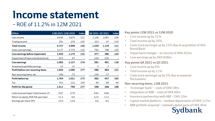## **Income statement**

## – ROE of 11.2% in 12M 2021

| <b>DKKm</b>                               | 12M 2021 12M 2020 |       | <b>Index</b>             | Q4 2021 Q3 2021 |        | <b>Index</b> |
|-------------------------------------------|-------------------|-------|--------------------------|-----------------|--------|--------------|
| Core income                               | 4,436             | 3,670 | 121                      | 1,156           | 1,087  | 106          |
| Trading income                            | 291               | 278   | 105                      | 103             | 47     | 219          |
| <b>Total income</b>                       | 4,727             | 3,948 | 120                      | 1,259           | 1,134  | 111          |
| Costs, core earnings                      | 3,177             | 2,774 | 115                      | 782             | 748    | 105          |
| Core earnings before impairment           | 1,550             | 1,174 | 132                      | 477             | 386    | 124          |
| Impairment of loans and advances etc      | $-415$            | 47    | $\overline{\phantom{a}}$ | $-104$          | $-105$ |              |
| Core earnings                             | 1,965             | 1,127 | 174                      | 581             | 491    | 118          |
| Investment portfolio earnings             | $-21$             | $-31$ |                          | 5               | $-7$   |              |
| Profit before non-recurring items         | 1,944             | 1,096 | 177                      | 586             | 484    | 121          |
| Non-recurring items, net                  | $-180$            | $-75$ |                          | $-104$          | $-27$  |              |
| Profit before tax                         | 1,764             | 1,021 | 173                      | 482             | 457    | 105          |
| Tax                                       | 353               | 222   | 159                      | 84              | 89     | 94           |
| Profit for the period                     | 1,411             | 799   | 177                      | 398             | 368    | 108          |
| Costs (core earnings) / total income, C/I | 0.67              | 0.70  |                          | 0.62            | 0.66   |              |
| Return on equity, ROE full-year basis     | 11.2              | 6.6   |                          | 12.5            | 11.5   |              |
| Earnings per share, EPS                   | 23.0              | 12.8  |                          | 6.6             | 6.0    |              |

### **Key points 12M 2021 vs 12M 2020**

- Core income up by 21%
- Total income up by 20%
- Costs (core earnings) up by 15% due to acquisition of Alm. Brand Bank
- Impairment charges an income of DKK 415m
- Core earnings up by DKK 838m.

### **Key points Q4 2021 vs Q3 2021**

- Core income up by 6%
- Total income up by 11%
- Costs (core earnings) up by 5% due to seasonal fluctuations.

### **Non-recurring items, 12M 2021**

- "A stronger bank" costs of DKK 38m
- Integration of ABB costs of DKK 60m
- Insurance partnership with ABF DKK 10m
- Capital market platform residual depreciation of DKK 117m
- ABB portfolio acquired realised capital gains of DKK 45m.

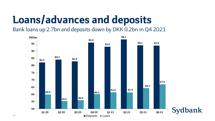## **Loans/advances and deposits**

Bank loans up 2.7bn and deposits down by DKK 0.2bn in Q4 2021

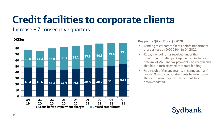## **Credit facilities to corporate clients**

### Increase – 7 consecutive quarters



### **Key points Q4 2021 vs Q3 2020**

- Lending to corporate clients before impairment charges rose by DKK 2.9bn in Q4 2021
- Repayment of funds received under the government's relief packages, which include a deferral of VAT and tax payments, has begun and that has in turn affected corporate lending
- As a result of the uncertainty in connection with covid-19, many corporate clients have increased their cash resources, which the Bank has accommodated.

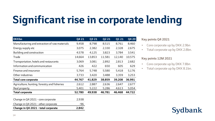# **Significant rise in corporate lending**

| <b>DKKbn</b>                                  | Q4 21  | Q3 21  | Q2 21  | Q1 21  | Q4 20  |
|-----------------------------------------------|--------|--------|--------|--------|--------|
| Manufacturing and extraction of raw materials | 9,458  | 8,798  | 8,515  | 8,761  | 8,460  |
| Energy supply etc                             | 3,075  | 2,382  | 2,330  | 2,328  | 2,675  |
| Building and construction                     | 4,578  | 4,125  | 3,823  | 3,784  | 3,541  |
| Trade                                         | 14,664 | 13,853 | 11,581 | 12,140 | 10,575 |
| Transportation, hotels and restaurants        | 3,069  | 3,081  | 2,892  | 2,813  | 2,682  |
| Information and communication                 | 426    | 422    | 650    | 605    | 629    |
| Finance and insurance                         | 5,764  | 5,748  | 5,580  | 5,418  | 5,176  |
| Other industries                              | 3,733  | 3,420  | 3,488  | 3,359  | 3,253  |
| <b>Total core corporate</b>                   | 44,767 | 41,829 | 38,859 | 39,208 | 36,991 |
| Agriculture, hunting, forestry and fisheries  | 2,612  | 2,887  | 2,636  | 2,647  | 2,677  |
| Real property                                 | 5,401  | 5,222  | 5,286  | 4,613  | 5,054  |
| <b>Total corporate</b>                        | 52,780 | 49,938 | 46,781 | 46,468 | 44,722 |
|                                               |        |        |        |        |        |

| Change in Q4 2021 - total corporate | 2,842 |
|-------------------------------------|-------|
| Change in Q4 2021 - other corporate | -96   |
| Change in Q4 2021 - core corporate  | 2,938 |

#### **Key points Q4 2021**

- Core corporate up by DKK 2.9bn
- Total corporate up by DKK 2.8bn.

### **Key points 12M 2021**

- Core corporate up by DKK 7.8bn
- Total corporate up by DKK 8.1bn.

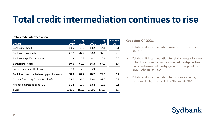## **Total credit intermediation continues to rise**

#### **Total credit intermediation**

| <b>DKKbn</b>                              | Q <sub>4</sub><br>2019 | Q <sub>4</sub><br>2020 | Q <sub>3</sub><br>2021 | Q <sub>4</sub><br>2021 | <b>Change</b><br>Q <sub>4</sub> |
|-------------------------------------------|------------------------|------------------------|------------------------|------------------------|---------------------------------|
| Bank loans - retail                       | 13.5                   | 15.2                   | 14.2                   | 14.1                   | $-0.1$                          |
| Bank loans - corporate                    | 46.8                   | 44.7                   | 50.0                   | 52.8                   | 2.8                             |
| Bank loans - public authorities           | 0.3                    | 0.3                    | 0.1                    | 0.1                    | 0.0                             |
| <b>Bank loans - total</b>                 | 60.6                   | 60.2                   | 64.3                   | 67.0                   | 2.7                             |
| Funded mortgage-like loans                | 8.3                    | 7.0                    | 5.9                    | 5.6                    | $-0.3$                          |
| Bank loans and funded mortgage-like loans | 68.9                   | 67.2                   | 70.2                   | 72.6                   | 2.4                             |
| Arranged mortgage loans - Totalkredit     | 64.7                   | 85.7                   | 89.0                   | 89.2                   | 0.2                             |
| Arranged mortgage loans - DLR             | 11.4                   | 12.7                   | 13.4                   | 13.5                   | 0.1                             |
| <b>Total</b>                              | 145.1                  | 165.6                  | 172.6                  | 175.3                  | 2.7                             |

#### **Key points Q4 2021**

- Total credit intermediation rose by DKK 2.7bn in Q4 2021
- Total credit intermediation to retail clients by way of bank loans and advances, funded mortgage-like loans and arranged mortgage loans – dropped by DKK 0.2bn in Q4 2021
- Total credit intermediation to corporate clients, including DLR, rose by DKK 2.9bn in Q4 2021.

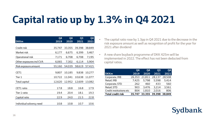## **Capital ratio up by 1.3% in Q4 2021**

| <b>DKKm</b>              | Q <sub>4</sub><br>2019 | Q <sub>4</sub><br>2020 | Q <sub>3</sub><br>2021 | Q4<br>2021 |
|--------------------------|------------------------|------------------------|------------------------|------------|
|                          |                        |                        |                        |            |
| Credit risk              | 35,747                 | 33,355                 | 39,398                 | 38,849     |
| Market risk              | 6,177                  | 6,675                  | 6,399                  | 5,467      |
| Operational risk         | 7,171                  | 6,708                  | 6,708                  | 7,195      |
| Other exposures incl CVA | 6,065                  | 7,302                  | 6,114                  | 5,904      |
| Risk exposure amount     | 55,160                 | 54,039                 | 58,619                 | 57,415     |
| CET1                     | 9,807                  | 10,185                 | 9,838                  | 10,277     |
| Tier 1                   | 10,722                 | 11,041                 | 10,638                 | 11,077     |
| Total capital            | 12,620                 | 12,952                 | 12,609                 | 13,082     |
| CET1 ratio               | 17.8                   | 18.8                   | 16.8                   | 17.9       |
| Tier 1 ratio             | 19.4                   | 20.4                   | 18.1                   | 19.3       |
| Capital ratio            | 22.9                   | 24.0                   | 21.5                   | 22.8       |
| Individual solvency need | 10.8                   | 10.8                   | 10.7                   | 10.6       |

- The capital ratio rose by 1.3pp in Q4 2021 due to the decrease in the risk exposure amount as well as recognition of profit for the year for 2021 after dividend
- A new share buyback programme of DKK 425m will be implemented in 2022. The effect has not been deducted from capital ratios.

|                          | <b>04</b> | Q4            | Q <sub>3</sub> | Q4     |
|--------------------------|-----------|---------------|----------------|--------|
| <b>DKKm</b>              | 2019      | 2020          | 2021           | 2021   |
| Corporate, IRB           | 26,353    | 21,811        | 28,137         | 28,508 |
| Retail, IRB              | 7,425     | 5.798         | 5,598          | 5,414  |
| Corporate, STD           | 262       | 460           | 433            | 560    |
| Retail, STD              | 903       | 3.476         | 3,214          | 3,561  |
| Credit institutions etc  | 804       | 1,810         | 2,016          | 806    |
| <b>Total credit risk</b> | 35.747    | 33,355 39,398 |                | 38.849 |

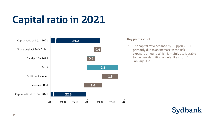## **Capital ratio in 2021**



#### **Key points 2021**

• The capital ratio declined by 1.2pp in 2021 primarily due to an increase in the risk exposure amount, which is mainly attributable to the new definition of default as from 1 January 2021.

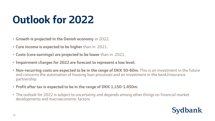## **Outlook for 2022**

- **Growth is projected in the Danish economy** in 2022.
- **Core income is expected to be higher** than in 2021.
- **Costs (core earnings) are projected to be lower** than in 2021.
- **Impairment charges for 2022 are forecast to represent a low level.**
- **Non-recurring costs are expected to be in the range of DKK 50-60m.** This is an investment in the future and concerns the automation of housing loan processes and an investment in the bank/insurance partnership.
- **Profit after tax is expected to be in the range of DKK 1,150-1,450m.**
- The outlook for 2022 is subject to uncertainty and depends among other things on financial market developments and macroeconomic factors.

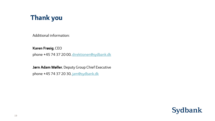## **Thank you**

Additional information:

**Karen Frøsig**, CEO

phone +45 74 37 20 00, [direktionen@sydbank.dk](mailto:Direktionen@sydbank.dk)

**Jørn Adam Møller**, Deputy Group Chief Executive phone +45 74 37 20 30, [jam@sydbank.dk](mailto:jam@sydbank.dk)